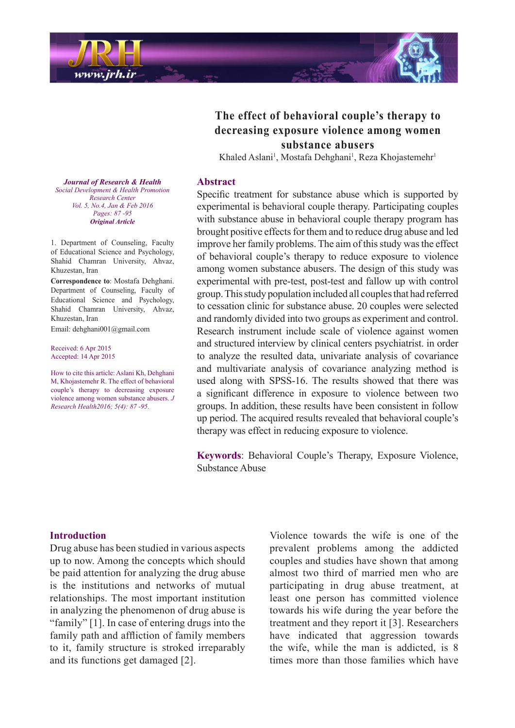

# The effect of behavioral couple's therapy to decreasing exposure violence among women **abusers substance**

Khaled Aslani<sup>1</sup>, Mostafa Dehghani<sup>1</sup>, Reza Khojastemehr<sup>1</sup>

### **Abstract**

Specific treatment for substance abuse which is supported by experimental is behavioral couple therapy. Participating couples with substance abuse in behavioral couple therapy program has brought positive effects for them and to reduce drug abuse and led improve her family problems. The aim of this study was the effect of behavioral couple's therapy to reduce exposure to violence among women substance abusers. The design of this study was experimental with pre-test, post-test and fallow up with control group. This study population included all couples that had referred to cessation clinic for substance abuse. 20 couples were selected and randomly divided into two groups as experiment and control. Research instrument include scale of violence against women and structured interview by clinical centers psychiatrist, in order to analyze the resulted data, univariate analysis of covariance and multivariate analysis of covariance analyzing method is used along with SPSS-16. The results showed that there was a significant difference in exposure to violence between two groups. In addition, these results have been consistent in follow up period. The acquired results revealed that behavioral couple's therapy was effect in reducing exposure to violence.

Keywords: Behavioral Couple's Therapy, Exposure Violence, Substance Abuse

#### **Journal of Research & Health**  *Promotion Health & Development Social Center Research Vol. 5, No.4, Jan & Feb 2016 -95 87 :Pages Article Original*

1. Department of Counseling, Faculty of Educational Science and Psychology, Shahid Chamran University, Ahvaz, Khuzestan, Iran

**Correspondence** to: Mostafa Dehghani. Department of Counseling, Faculty of Educational Science and Psychology, Shahid Chamran University, Ahvaz, Khuzestan Iran

Email: dehghani001@gmail.com

Received: 6 Apr 2015 Accepted: 14 Apr 2015

How to cite this article: Aslani Kh, Dehghani M, Khojastemehr R. The effect of behavioral couple's therapy to decreasing exposure violence among women substance abusers. *J Research Health 2016; 5(4): 87 - 95.* 

# **Introduction**

Drug abuse has been studied in various aspects up to now. Among the concepts which should be paid attention for analyzing the drug abuse is the institutions and networks of mutual relationships. The most important institution in analyzing the phenomenon of drug abuse is "family"  $[1]$ . In case of entering drugs into the family path and affliction of family members to it, family structure is stroked irreparably and its functions get damaged [2].

Violence towards the wife is one of the prevalent problems among the addicted couples and studies have shown that among almost two third of married men who are participating in drug abuse treatment, at least one person has committed violence towards his wife during the year before the treatment and they report it [3]. Researchers have indicated that aggression towards the wife, while the man is addicted, is  $8$ times more than those families which have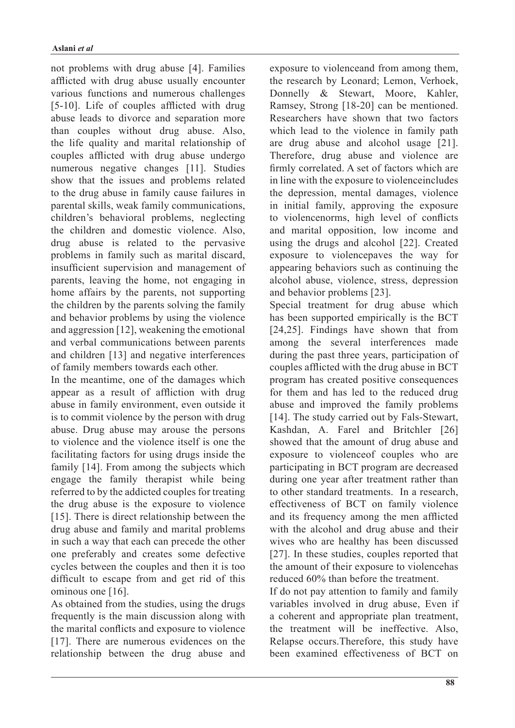not problems with drug abuse [4]. Families afflicted with drug abuse usually encounter various functions and numerous challenges  $[5-10]$ . Life of couples afflicted with drug abuse leads to divorce and separation more than couples without drug abuse. Also, the life quality and marital relationship of couples afflicted with drug abuse undergo numerous negative changes [11]. Studies show that the issues and problems related to the drug abuse in family cause failures in parental skills, weak family communications, children's behavioral problems, neglecting the children and domestic violence. Also, drug abuse is related to the pervasive problems in family such as marital discard, insufficient supervision and management of parents, leaving the home, not engaging in home affairs by the parents, not supporting the children by the parents solving the family and behavior problems by using the violence and aggression  $[12]$ , weakening the emotional and verbal communications between parents and children [13] and negative interferences of family members towards each other.

In the meantime, one of the damages which appear as a result of affliction with drug abuse in family environment, even outside it is to commit violence by the person with drug abuse. Drug abuse may arouse the persons to violence and the violence itself is one the facilitating factors for using drugs inside the family [14]. From among the subjects which engage the family the rapist while being referred to by the addicted couples for treating the drug abuse is the exposure to violence [15]. There is direct relationship between the drug abuse and family and marital problems in such a way that each can precede the other one preferably and creates some defective cycles between the couples and then it is too difficult to escape from and get rid of this ominous one [16].

As obtained from the studies, using the drugs frequently is the main discussion along with the marital conflicts and exposure to violence  $[17]$ . There are numerous evidences on the relationship between the drug abuse and exposure to violenceand from among them, the research by Leonard; Lemon, Verhoek, Donnelly & Stewart, Moore, Kahler, Ramsey, Strong [18-20] can be mentioned. Researchers have shown that two factors which lead to the violence in family path are drug abuse and alcohol usage  $[21]$ . Therefore, drug abuse and violence are firmly correlated. A set of factors which are in line with the exposure to violence includes the depression, mental damages, violence in initial family, approving the exposure to violencenorms, high level of conflicts and marital opposition, low income and using the drugs and alcohol  $[22]$ . Created exposure to violencepaves the way for appearing behaviors such as continuing the alcohol abuse, violence, stress, depression and behavior problems [23].

Special treatment for drug abuse which has been supported empirically is the BCT  $[24,25]$ . Findings have shown that from among the several interferences made during the past three years, participation of couples afflicted with the drug abuse in BCT program has created positive consequences for them and has led to the reduced drug abuse and improved the family problems [14]. The study carried out by Fals-Stewart, Kashdan, A. Farel and Britchler [26] showed that the amount of drug abuse and exposure to violence of couples who are participating in BCT program are decreased during one year after treatment rather than to other standard treatments. In a research, effectiveness of BCT on family violence and its frequency among the men afflicted with the alcohol and drug abuse and their wives who are healthy has been discussed  $[27]$ . In these studies, couples reported that the amount of their exposure to violencehas reduced 60% than before the treatment.

If do not pay attention to family and family variables involved in drug abuse. Even if a coherent and appropriate plan treatment. the treatment will be ineffective. Also, Relapse occurs.Therefore, this study have been examined effectiveness of BCT on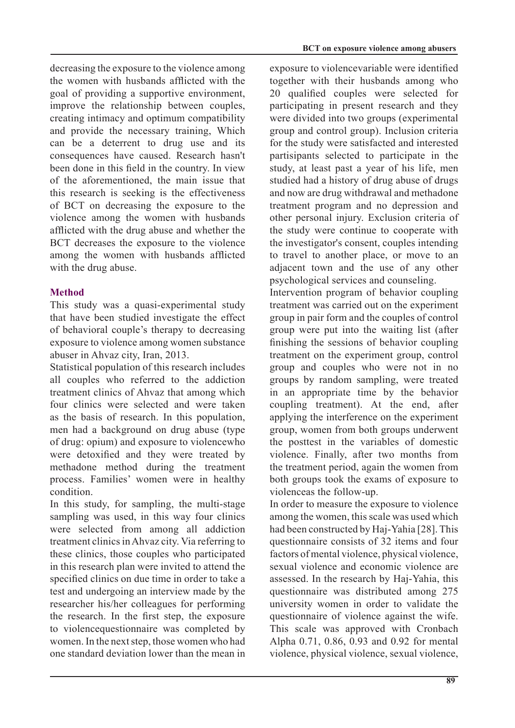decreasing the exposure to the violence among the women with husbands afflicted with the goal of providing a supportive environment. improve the relationship between couples, creating intimacy and optimum compatibility and provide the necessary training. Which can be a deterrent to drug use and its consequences have caused. Research hasn't been done in this field in the country. In view of the aforementioned, the main issue that this research is seeking is the effectiveness of BCT on decreasing the exposure to the violence among the women with husbands afflicted with the drug abuse and whether the BCT decreases the exposure to the violence among the women with husbands afflicted with the drug abuse.

# **Method**

This study was a quasi-experimental study that have been studied investigate the effect of behavioral couple's therapy to decreasing exposure to violence among women substance abuser in Ahvaz city, Iran, 2013.

Statistical population of this research includes all couples who referred to the addiction treatment clinics of Ahvaz that among which four clinics were selected and were taken as the basis of research. In this population, men had a background on drug abuse (type of drug: opium) and exposure to violencewho were detoxified and they were treated by methadone method during the treatment process. Families' women were in healthy .condition

In this study, for sampling, the multi-stage sampling was used, in this way four clinics were selected from among all addiction treatment clinics in Ahvaz city. Via referring to these clinics, those couples who participated in this research plan were invited to attend the specified clinics on due time in order to take a test and undergoing an interview made by the researcher his/her colleagues for performing the research. In the first step, the exposure to violencequestionnaire was completed by women. In the next step, those women who had one standard deviation lower than the mean in exposure to violencevariable were identified together with their husbands among who 20 qualified couples were selected for participating in present research and they were divided into two groups (experimental group and control group). Inclusion criteria for the study were satisfacted and interested partisipants selected to participate in the study, at least past a year of his life, men studied had a history of drug abuse of drugs and now are drug withdrawal and methadone treatment program and no depression and other personal injury. Exclusion criteria of the study were continue to cooperate with the investigator's consent, couples intending to travel to another place, or move to an adjacent town and the use of any other psychological services and counseling.

Intervention program of behavior coupling treatment was carried out on the experiment group in pair form and the couples of control group were put into the waiting list (after finishing the sessions of behavior coupling treatment on the experiment group, control group and couples who were not in no groups by random sampling, were treated in an appropriate time by the behavior coupling treatment). At the end, after applying the interference on the experiment group, women from both groups underwent the posttest in the variables of domestic violence. Finally, after two months from the treatment period, again the women from both groups took the exams of exposure to violenceas the follow-up.

In order to measure the exposure to violence among the women, this scale was used which had been constructed by Haj-Yahia [28]. This questionnaire consists of 32 items and four factors of mental violence, physical violence. sexual violence and economic violence are assessed. In the research by Haj-Yahia, this questionnaire was distributed among 275 university women in order to validate the questionnaire of violence against the wife. This scale was approved with Cronbach Alpha 0.71, 0.86, 0.93 and 0.92 for mental violence, physical violence, sexual violence,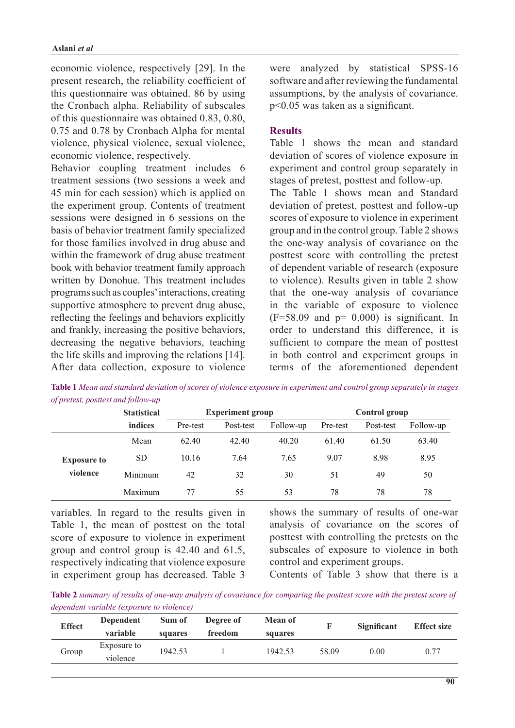economic violence, respectively [29]. In the present research, the reliability coefficient of this questionnaire was obtained. 86 by using the Cronbach alpha. Reliability of subscales of this questionnaire was obtained  $0.83, 0.80$ ,  $0.75$  and  $0.78$  by Cronbach Alpha for mental violence, physical violence, sexual violence, economic violence, respectively.

Behavior coupling treatment includes 6 treatment sessions (two sessions a week and 45 min for each session) which is applied on the experiment group. Contents of treatment sessions were designed in 6 sessions on the basis of behavior treatment family specialized for those families involved in drug abuse and within the framework of drug abuse treatment book with behavior treatment family approach written by Donohue. This treatment includes programs such as couples' interactions, creating supportive atmosphere to prevent drug abuse, reflecting the feelings and behaviors explicitly and frankly, increasing the positive behaviors, decreasing the negative behaviors, teaching the life skills and improving the relations  $[14]$ . After data collection, exposure to violence were analyzed by statistical SPSS-16 software and after reviewing the fundamental assumptions, by the analysis of covariance.  $p<0.05$  was taken as a significant.

# **Results**

Table 1 shows the mean and standard deviation of scores of violence exposure in experiment and control group separately in stages of pretest, posttest and follow-up.

The Table 1 shows mean and Standard deviation of pretest, posttest and follow-up scores of exposure to violence in experiment group and in the control group. Table 2 shows the one-way analysis of covariance on the posttest score with controlling the pretest of dependent variable of research (exposure to violence). Results given in table 2 show that the one-way analysis of covariance in the variable of exposure to violence  $(F=58.09$  and  $p= 0.000$  is significant. In order to understand this difference, it is sufficient to compare the mean of posttest in both control and experiment groups in terms of the aforementioned dependent

*Table 1 Mean and standard deviation of scores of violence exposure in experiment and control group separately in stages of pretest, posttest and follow-up* 

|                    | <b>Statistical</b><br>indices | <b>Experiment group</b> |           |           | Control group |           |           |  |
|--------------------|-------------------------------|-------------------------|-----------|-----------|---------------|-----------|-----------|--|
|                    |                               | Pre-test                | Post-test | Follow-up | Pre-test      | Post-test | Follow-up |  |
|                    | Mean                          | 62.40                   | 42.40     | 40.20     | 61.40         | 61.50     | 63.40     |  |
| <b>Exposure to</b> | <b>SD</b>                     | 10.16                   | 7.64      | 7.65      | 9.07          | 8.98      | 8.95      |  |
| violence           | Minimum                       | 42                      | 32        | 30        | 51            | 49        | 50        |  |
|                    | Maximum                       | 77                      | 55        | 53        | 78            | 78        | 78        |  |

variables. In regard to the results given in Table 1, the mean of posttest on the total score of exposure to violence in experiment group and control group is  $42.40$  and  $61.5$ , respectively indicating that violence exposure in experiment group has decreased. Table 3 shows the summary of results of one-war analysis of covariance on the scores of posttest with controlling the pretests on the subscales of exposure to violence in both control and experiment groups.

Contents of Table  $3$  show that there is a

*Table 2 summary of results of one-way analysis of covariance for comparing the posttest score with the pretest score of denendent variable (exposure to violence)* 

| <b>Effect</b> | Dependent                                 | Sum of  | Degree of | <b>Mean of</b> |       | Significant | <b>Effect size</b> |
|---------------|-------------------------------------------|---------|-----------|----------------|-------|-------------|--------------------|
|               | variable<br>freedom<br>squares<br>squares |         |           |                |       |             |                    |
| Group         | Exposure to                               | 1942.53 |           | 1942.53        | 58.09 | 0.00        | 0.77               |
|               | violence                                  |         |           |                |       |             |                    |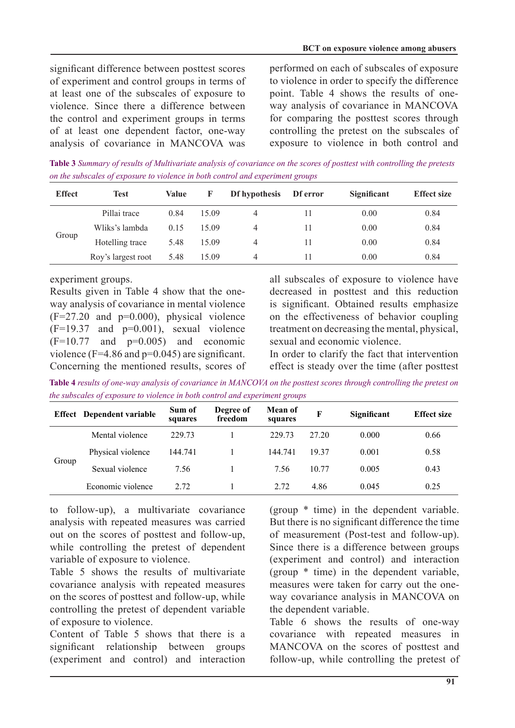significant difference between posttest scores of experiment and control groups in terms of at least one of the subscales of exposure to violence. Since there a difference between the control and experiment groups in terms of at least one dependent factor, one-way analysis of covariance in MANCOVA was performed on each of subscales of exposure to violence in order to specify the difference way analysis of covariance in MANCOVA point. Table 4 shows the results of onefor comparing the posttest scores through controlling the pretest on the subscales of exposure to violence in both control and

*Table 3 Summary of results of Multivariate analysis of covariance on the scores of posttest with controlling the pretests groups the subscales of exposure to violence in both control and experiment groups* 

| <b>Effect</b> | <b>Test</b>        | Value | F     | Df hypothesis | Df error | Significant | <b>Effect size</b> |
|---------------|--------------------|-------|-------|---------------|----------|-------------|--------------------|
|               | Pillai trace       | 0.84  | 15.09 | 4             | 11       | 0.00        | 0.84               |
| Group         | Wliks's lambda     | 0.15  | 15.09 | 4             | 11       | 0.00        | 0.84               |
|               | Hotelling trace    | 5.48  | 15.09 | 4             | 11       | 0.00        | 0.84               |
|               | Roy's largest root | 5.48  | 15.09 | 4             | 11       | 0.00        | 0.84               |

experiment groups.

way analysis of covariance in mental violence Results given in Table 4 show that the one- $(F=27.20$  and  $p=0.000$ , physical violence  $(F=19.37$  and  $p=0.001$ ), sexual violence  $(F=10.77$  and  $p=0.005$ ) and economic violence ( $F=4.86$  and  $p=0.045$ ) are significant. Concerning the mentioned results, scores of all subscales of exposure to violence have decreased in posttest and this reduction is significant. Obtained results emphasize on the effectiveness of behavior coupling treatment on decreasing the mental, physical, sexual and economic violence.

In order to clarify the fact that intervention effect is steady over the time (after posttest)

Table 4 results of one-way analysis of covariance in MANCOVA on the posttest scores through controlling the pretest on *the subscales of exposure to violence in both control and experiment groups* 

|       | <b>Effect</b> Dependent variable | Sum of<br>squares | Degree of<br>freedom | Mean of<br>squares | F     | Significant | <b>Effect size</b> |
|-------|----------------------------------|-------------------|----------------------|--------------------|-------|-------------|--------------------|
| Group | Mental violence                  | 229.73            |                      | 229.73             | 27 20 | 0.000       | 0.66               |
|       | Physical violence                | 144.741           |                      | 144.741            | 19 37 | 0.001       | 0.58               |
|       | Sexual violence                  | 7.56              |                      | 7.56               | 10.77 | 0.005       | 0.43               |
|       | Economic violence                | 2.72              |                      | 2.72               | 4.86  | 0.045       | 0.25               |

to follow-up), a multivariate covariance analysis with repeated measures was carried out on the scores of posttest and follow-up, while controlling the pretest of dependent variable of exposure to violence.

Table 5 shows the results of multivariate covariance analysis with repeated measures on the scores of posttest and follow-up, while controlling the pretest of dependent variable of exposure to violence.

Content of Table 5 shows that there is a significant relationship between groups (experiment and control) and interaction (group  $*$  time) in the dependent variable. But there is no significant difference the time of measurement (Post-test and follow-up). Since there is a difference between groups (experiment and control) and interaction (group  $*$  time) in the dependent variable, way covariance analysis in MANCOVA on measures were taken for carry out the onethe dependent variable.

Table 6 shows the results of one-way covariance with repeated measures in MANCOVA on the scores of posttest and follow-up, while controlling the pretest of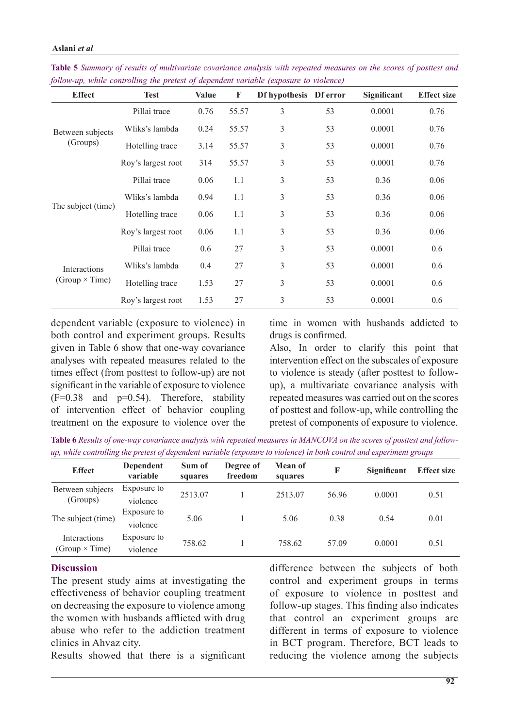| <b>Effect</b>                         | <b>Test</b>        | <b>Value</b> | F     | Df hypothesis Df error |    | <b>Significant</b> | <b>Effect size</b> |
|---------------------------------------|--------------------|--------------|-------|------------------------|----|--------------------|--------------------|
| Between subjects                      | Pillai trace       | 0.76         | 55.57 | 3                      | 53 | 0.0001             | 0.76               |
|                                       | Wliks's lambda     | 0.24         | 55.57 | 3                      | 53 | 0.0001             | 0.76               |
| (Groups)                              | Hotelling trace    | 3.14         | 55.57 | 3                      | 53 | 0.0001             | 0.76               |
|                                       | Roy's largest root | 314          | 55.57 | 3                      | 53 | 0.0001             | 0.76               |
|                                       | Pillai trace       | 0.06         | 1.1   | 3                      | 53 | 0.36               | 0.06               |
|                                       | Wliks's lambda     | 0.94         | 1.1   | 3                      | 53 | 0.36               | 0.06               |
| The subject (time)                    | Hotelling trace    | 0.06         | 1.1   | 3                      | 53 | 0.36               | 0.06               |
|                                       | Roy's largest root | 0.06         | 1.1   | 3                      | 53 | 0.36               | 0.06               |
| Interactions<br>(Group $\times$ Time) | Pillai trace       | 0.6          | 27    | 3                      | 53 | 0.0001             | 0.6                |
|                                       | Wliks's lambda     | 0.4          | 27    | 3                      | 53 | 0.0001             | 0.6                |
|                                       | Hotelling trace    | 1.53         | 27    | 3                      | 53 | 0.0001             | 0.6                |
|                                       | Roy's largest root | 1.53         | 27    | 3                      | 53 | 0.0001             | 0.6                |

*Table 5 Summary of results of multivariate covariance analysis with repeated measures on the scores of posttest and follow-up, while controlling the pretest of dependent variable (exposure to violence)* 

dependent variable (exposure to violence) in both control and experiment groups. Results given in Table 6 show that one-way covariance analyses with repeated measures related to the times effect (from posttest to follow-up) are not significant in the variable of exposure to violence  $(F=0.38$  and  $p=0.54$ ). Therefore, stability of intervention effect of behavior coupling treatment on the exposure to violence over the

time in women with husbands addicted to drugs is confirmed.

Also, In order to clarify this point that intervention effect on the subscales of exposure up), a multivariate covariance analysis with to violence is steady (after posttest to followrepeated measures was carried out on the scores of posttest and follow-up, while controlling the pretest of components of exposure to violence.

*up, while controlling the pretest of dependent variable (exposure to violence) in both control and experiment groups* Table 6 Results of one-way covariance analysis with repeated measures in MANCOVA on the scores of posttest and follow-

| <b>Effect</b>                         | Dependent<br>variable   | Sum of<br>squares | Degree of<br>freedom | <b>Mean of</b><br>squares | F     | <b>Significant</b> | <b>Effect size</b> |
|---------------------------------------|-------------------------|-------------------|----------------------|---------------------------|-------|--------------------|--------------------|
| Between subjects<br>(Groups)          | Exposure to<br>violence | 2513.07           |                      | 2513.07                   | 56.96 | 0.0001             | 0.51               |
| The subject (time)                    | Exposure to<br>violence | 5.06              |                      | 5.06                      | 0.38  | 0.54               | 0.01               |
| Interactions<br>(Group $\times$ Time) | Exposure to<br>violence | 758.62            |                      | 758.62                    | 57.09 | 0.0001             | 0.51               |

# **Discussion**

The present study aims at investigating the effectiveness of behavior coupling treatment on decreasing the exposure to violence among the women with husbands afflicted with drug abuse who refer to the addiction treatment clinics in Ahvaz city.

Results showed that there is a significant

difference between the subjects of both control and experiment groups in terms of exposure to violence in posttest and follow-up stages. This finding also indicates that control an experiment groups are different in terms of exposure to violence in BCT program. Therefore, BCT leads to reducing the violence among the subjects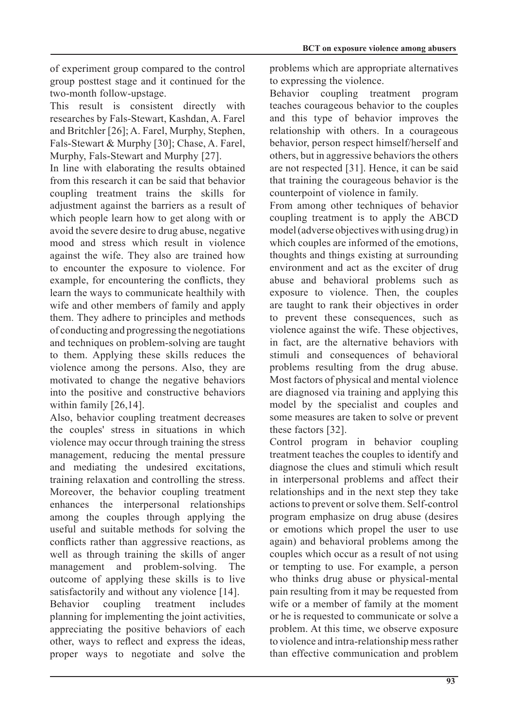of experiment group compared to the control group posttest stage and it continued for the two-month follow-upstage.

This result is consistent directly with researches by Fals-Stewart, Kashdan, A. Farel and Britchler [26]; A. Farel, Murphy, Stephen, Fals-Stewart & Murphy [30]; Chase, A. Farel, Murphy, Fals-Stewart and Murphy [27].

In line with elaborating the results obtained from this research it can be said that behavior coupling treatment trains the skills for adjustment against the barriers as a result of which people learn how to get along with or avoid the severe desire to drug abuse, negative mood and stress which result in violence against the wife. They also are trained how to encounter the exposure to violence. For example, for encountering the conflicts, they learn the ways to communicate healthily with wife and other members of family and apply them. They adhere to principles and methods of conducting and progressing the negotiations and techniques on problem-solving are taught to them. Applying these skills reduces the violence among the persons. Also, they are motivated to change the negative behaviors into the positive and constructive behaviors within family  $[26,14]$ .

Also, behavior coupling treatment decreases the couples' stress in situations in which violence may occur through training the stress management, reducing the mental pressure and mediating the undesired excitations, training relaxation and controlling the stress. Moreover, the behavior coupling treatment enhances the interpersonal relationships among the couples through applying the useful and suitable methods for solving the conflicts rather than aggressive reactions, as well as through training the skills of anger management and problem-solving. The outcome of applying these skills is to live satisfactorily and without any violence [14]. Behavior coupling treatment includes planning for implementing the joint activities, appreciating the positive behaviors of each other, ways to reflect and express the ideas, proper ways to negotiate and solve the problems which are appropriate alternatives to expressing the violence.

Behavior coupling treatment program teaches courageous behavior to the couples and this type of behavior improves the relationship with others. In a courageous behavior, person respect himself/herself and others, but in aggressive behaviors the others are not respected [31]. Hence, it can be said that training the courageous behavior is the counterpoint of violence in family.

From among other techniques of behavior coupling treatment is to apply the ABCD model (adverse objectives with using drug) in which couples are informed of the emotions, thoughts and things existing at surrounding environment and act as the exciter of drug abuse and behavioral problems such as exposure to violence. Then, the couples are taught to rank their objectives in order to prevent these consequences, such as violence against the wife. These objectives, in fact, are the alternative behaviors with stimuli and consequences of behavioral problems resulting from the drug abuse. Most factors of physical and mental violence are diagnosed via training and applying this model by the specialist and couples and some measures are taken to solve or prevent these factors  $[32]$ .

Control program in behavior coupling treatment teaches the couples to identify and diagnose the clues and stimuli which result in interpersonal problems and affect their relationships and in the next step they take actions to prevent or solve them. Self-control program emphasize on drug abuse (desires or emotions which propel the user to use again) and behavioral problems among the couples which occur as a result of not using or tempting to use. For example, a person who thinks drug abuse or physical-mental pain resulting from it may be requested from wife or a member of family at the moment or he is requested to communicate or solve a problem. At this time, we observe exposure to violence and intra-relationship mess rather than effective communication and problem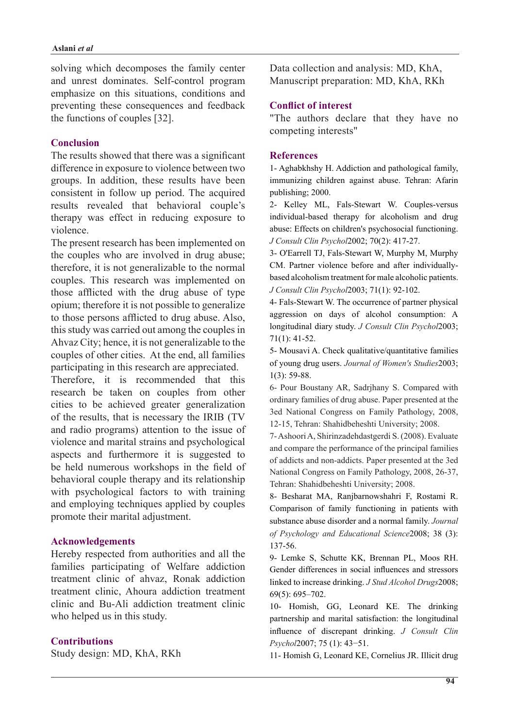solving which decomposes the family center and unrest dominates. Self-control program emphasize on this situations, conditions and preventing these consequences and feedback the functions of couples  $[32]$ .

## **Conclusion**

The results showed that there was a significant difference in exposure to violence between two groups. In addition, these results have been consistent in follow up period. The acquired results revealed that behavioral couple's therapy was effect in reducing exposure to violence.

The present research has been implemented on the couples who are involved in drug abuse; therefore, it is not generalizable to the normal couples. This research was implemented on those afflicted with the drug abuse of type opium; therefore it is not possible to generalize to those persons afflicted to drug abuse. Also, this study was carried out among the couples in Ahvaz City; hence, it is not generalizable to the couples of other cities. At the end, all families participating in this research are appreciated.

Therefore, it is recommended that this research be taken on couples from other cities to be achieved greater generalization of the results, that is necessary the IRIB (TV) and radio programs) attention to the issue of violence and marital strains and psychological aspects and furthermore it is suggested to be held numerous workshops in the field of behavioral couple therapy and its relationship with psychological factors to with training and employing techniques applied by couples promote their marital adjustment.

### **Acknowledgements**

Hereby respected from authorities and all the families participating of Welfare addiction treatment clinic of ahvaz, Ronak addiction treatment clinic. Ahoura addiction treatment clinic and Bu-Ali addiction treatment clinic who helped us in this study.

### **Contributions**

Study design: MD, KhA, RKh

Data collection and analysis: MD, KhA, Manuscript preparation: MD, KhA, RKh

## **Conflict of interest**

"The authors declare that they have no competing interests"

#### **References**

1- Aghabkhshy H. Addiction and pathological family, immunizing children against abuse. Tehran: Afarin publishing; 2000.

2- Kelley ML, Fals-Stewart W. Couples-versus individual-based therapy for alcoholism and drug abuse: Effects on children's psychosocial functioning. J Consult Clin Psychol 2002; 70(2): 417-27.

3- O'Earrell TJ, Fals-Stewart W, Murphy M, Murphy based alcoholism treatment for male alcoholic patients. CM. Partner violence before and after individually-J Consult Clin Psychol 2003; 71(1): 92-102.

4- Fals-Stewart W. The occurrence of partner physical aggression on days of alcohol consumption: A longitudinal diary study. *J Consult Clin Psychol* 2003;  $71(1): 41-52.$ 

5- Mousavi A. Check qualitative/quantitative families of young drug users. Journal of Women's Studies 2003;  $1(3)$ : 59-88.

6- Pour Boustany AR, Sadrjhany S. Compared with ordinary families of drug abuse. Paper presented at the 3ed National Congress on Family Pathology, 2008, 12-15, Tehran: Shahidbeheshti University; 2008.

7- Ashoori A, Shirinzadehdastgerdi S. (2008). Evaluate and compare the performance of the principal families of addicts and non-addicts. Paper presented at the 3ed National Congress on Family Pathology, 2008, 26-37, Tehran: Shahidbeheshti University; 2008.

8- Besharat MA, Ranjbarnowshahri F, Rostami R. Comparison of family functioning in patients with substance abuse disorder and a normal family. Journal of Psychology and Educational Science 2008; 38 (3): 137-56.

9- Lemke S, Schutte KK, Brennan PL, Moos RH. Gender differences in social influences and stressors linked to increase drinking. *J Stud Alcohol Drugs* 2008;  $69(5)$ : 695 - 702.

10- Homish, GG, Leonard KE. The drinking partnership and marital satisfaction: the longitudinal influence of discrepant drinking J Consult Clin Psychol2007; 75 (1): 43-51.

11- Homish G, Leonard KE, Cornelius JR. Illicit drug